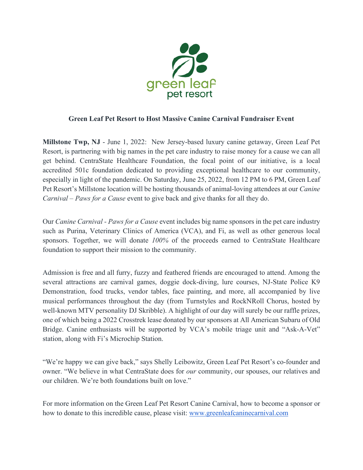

## **Green Leaf Pet Resort to Host Massive Canine Carnival Fundraiser Event**

**Millstone Twp, NJ** - June 1, 2022: New Jersey-based luxury canine getaway, Green Leaf Pet Resort, is partnering with big names in the pet care industry to raise money for a cause we can all get behind. CentraState Healthcare Foundation, the focal point of our initiative, is a local accredited 501c foundation dedicated to providing exceptional healthcare to our community, especially in light of the pandemic. On Saturday, June 25, 2022, from 12 PM to 6 PM, Green Leaf Pet Resort's Millstone location will be hosting thousands of animal-loving attendees at our *Canine Carnival – Paws for a Cause* event to give back and give thanks for all they do.

Our *Canine Carnival - Paws for a Cause* event includes big name sponsors in the pet care industry such as Purina, Veterinary Clinics of America (VCA), and Fi, as well as other generous local sponsors. Together, we will donate *100%* of the proceeds earned to CentraState Healthcare foundation to support their mission to the community.

Admission is free and all furry, fuzzy and feathered friends are encouraged to attend. Among the several attractions are carnival games, doggie dock-diving, lure courses, NJ-State Police K9 Demonstration, food trucks, vendor tables, face painting, and more, all accompanied by live musical performances throughout the day (from Turnstyles and RockNRoll Chorus, hosted by well-known MTV personality DJ Skribble). A highlight of our day will surely be our raffle prizes, one of which being a 2022 Crosstrek lease donated by our sponsors at All American Subaru of Old Bridge. Canine enthusiasts will be supported by VCA's mobile triage unit and "Ask-A-Vet" station, along with Fi's Microchip Station.

"We're happy we can give back," says Shelly Leibowitz, Green Leaf Pet Resort's co-founder and owner. "We believe in what CentraState does for *our* community, our spouses, our relatives and our children. We're both foundations built on love."

For more information on the Green Leaf Pet Resort Canine Carnival, how to become a sponsor or how to donate to this incredible cause, please visit: [www.greenleafcaninecarnival.com](http://www.greenleafcaninecarnival.com/)